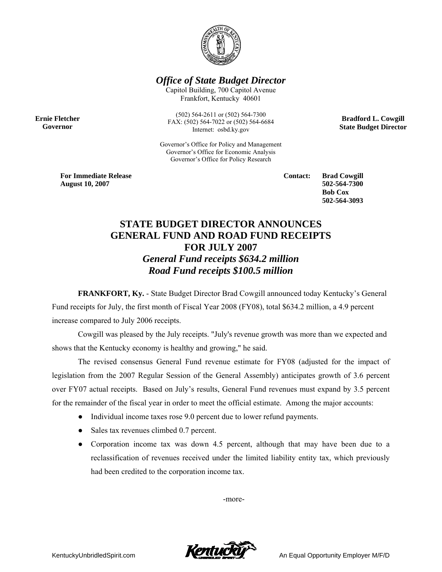

*Office of State Budget Director* 

Capitol Building, 700 Capitol Avenue Frankfort, Kentucky 40601

**Ernie Fletcher Governor** 

(502) 564-2611 or (502) 564-7300 FAX: (502) 564-7022 or (502) 564-6684 Internet: osbd.ky.gov

Governor's Office for Policy and Management Governor's Office for Economic Analysis Governor's Office for Policy Research

**Bradford L. Cowgill State Budget Director** 

**For Immediate Release August 10, 2007**

**Contact: Brad Cowgill 502-564-7300 Bob Cox 502-564-3093** 

## **STATE BUDGET DIRECTOR ANNOUNCES GENERAL FUND AND ROAD FUND RECEIPTS FOR JULY 2007**  *General Fund receipts \$634.2 million Road Fund receipts \$100.5 million*

**FRANKFORT, Ky.** - State Budget Director Brad Cowgill announced today Kentucky's General Fund receipts for July, the first month of Fiscal Year 2008 (FY08), total \$634.2 million, a 4.9 percent increase compared to July 2006 receipts.

Cowgill was pleased by the July receipts. "July's revenue growth was more than we expected and shows that the Kentucky economy is healthy and growing," he said.

The revised consensus General Fund revenue estimate for FY08 (adjusted for the impact of legislation from the 2007 Regular Session of the General Assembly) anticipates growth of 3.6 percent over FY07 actual receipts. Based on July's results, General Fund revenues must expand by 3.5 percent for the remainder of the fiscal year in order to meet the official estimate. Among the major accounts:

- Individual income taxes rose 9.0 percent due to lower refund payments.
- Sales tax revenues climbed 0.7 percent.
- Corporation income tax was down 4.5 percent, although that may have been due to a reclassification of revenues received under the limited liability entity tax, which previously had been credited to the corporation income tax.

-more-

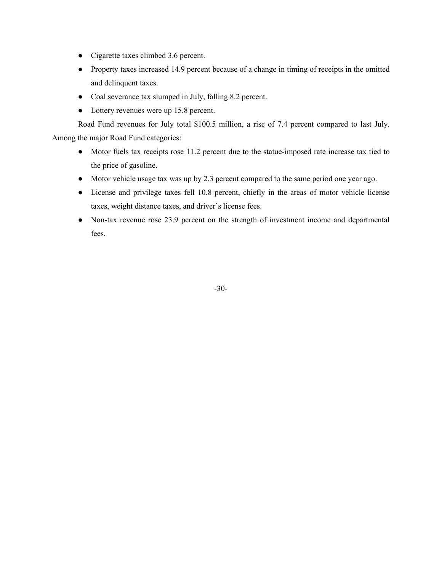- Cigarette taxes climbed 3.6 percent.
- Property taxes increased 14.9 percent because of a change in timing of receipts in the omitted and delinquent taxes.
- Coal severance tax slumped in July, falling 8.2 percent.
- Lottery revenues were up 15.8 percent.

 Road Fund revenues for July total \$100.5 million, a rise of 7.4 percent compared to last July. Among the major Road Fund categories:

- Motor fuels tax receipts rose 11.2 percent due to the statue-imposed rate increase tax tied to the price of gasoline.
- Motor vehicle usage tax was up by 2.3 percent compared to the same period one year ago.
- License and privilege taxes fell 10.8 percent, chiefly in the areas of motor vehicle license taxes, weight distance taxes, and driver's license fees.
- Non-tax revenue rose 23.9 percent on the strength of investment income and departmental fees.

-30-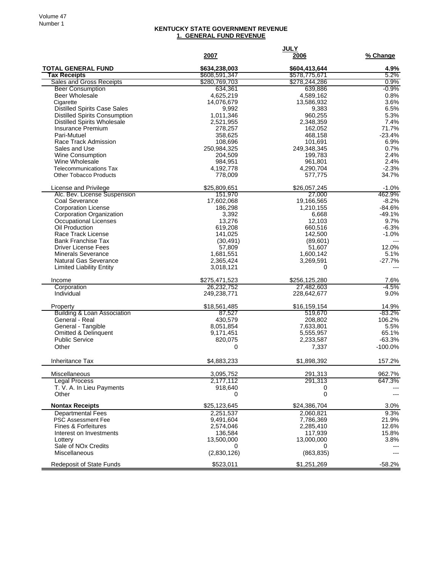## **KENTUCKY STATE GOVERNMENT REVENUE 1. GENERAL FUND REVENUE**

|                                                                            | 2007                   | <b>JULY</b><br>2006   | % Change           |
|----------------------------------------------------------------------------|------------------------|-----------------------|--------------------|
| <b>TOTAL GENERAL FUND</b>                                                  | \$634,238,003          | \$604,413,644         | 4.9%               |
| <b>Tax Receipts</b>                                                        | \$608,591,347          | \$578,775,671         | 5.2%               |
| <b>Sales and Gross Receipts</b>                                            | \$280,769,703          | \$278,244,286         | $0.9\%$            |
| <b>Beer Consumption</b>                                                    | 634.361                | 639,886               | $-0.9%$            |
| <b>Beer Wholesale</b>                                                      | 4,625,219              | 4,589,162             | 0.8%               |
| Cigarette                                                                  | 14,076,679             | 13,586,932            | 3.6%               |
| <b>Distilled Spirits Case Sales</b>                                        | 9,992                  | 9,383                 | 6.5%               |
| <b>Distilled Spirits Consumption</b><br><b>Distilled Spirits Wholesale</b> | 1.011.346<br>2,521,955 | 960,255               | 5.3%<br>7.4%       |
| <b>Insurance Premium</b>                                                   | 278,257                | 2,348,359<br>162,052  | 71.7%              |
| Pari-Mutuel                                                                | 358,625                | 468,158               | $-23.4%$           |
| Race Track Admission                                                       | 108,696                | 101,691               | 6.9%               |
| Sales and Use                                                              | 250,984,325            | 249,348,345           | 0.7%               |
| Wine Consumption                                                           | 204,509                | 199,783               | 2.4%               |
| Wine Wholesale                                                             | 984,951                | 961,801               | 2.4%               |
| <b>Telecommunications Tax</b>                                              | 4,192,778              | 4,290,704             | $-2.3%$            |
| <b>Other Tobacco Products</b>                                              | 778,009                | 577,775               | 34.7%              |
| License and Privilege                                                      | \$25,809,651           | \$26,057,245          | $-1.0%$            |
| Alc. Bev. License Suspension                                               | 151,970                | 27,000                | 462.9%             |
| Coal Severance                                                             | 17,602,068             | 19,166,565            | $-8.2%$            |
| <b>Corporation License</b>                                                 | 186.298                | 1,210,155             | $-84.6%$           |
| Corporation Organization                                                   | 3,392                  | 6,668                 | $-49.1%$           |
| Occupational Licenses                                                      | 13,276                 | 12,103                | 9.7%               |
| Oil Production<br>Race Track License                                       | 619,208<br>141,025     | 660,516<br>142,500    | $-6.3%$<br>$-1.0%$ |
| <b>Bank Franchise Tax</b>                                                  | (30, 491)              | (89, 601)             | $---$              |
| <b>Driver License Fees</b>                                                 | 57,809                 | 51,607                | 12.0%              |
| Minerals Severance                                                         | 1,681,551              | 1,600,142             | 5.1%               |
| <b>Natural Gas Severance</b>                                               | 2,365,424              | 3,269,591             | $-27.7%$           |
| <b>Limited Liability Entity</b>                                            | 3,018,121              | 0                     |                    |
| Income                                                                     | \$275,471,523          | \$256,125,280         | 7.6%               |
| Corporation                                                                | 26,232,752             | 27,482,603            | $-4.5%$            |
| Individual                                                                 | 249,238,771            | 228,642,677           | 9.0%               |
| Property                                                                   | \$18,561,485           | \$16,159,154          | 14.9%              |
| <b>Building &amp; Loan Association</b>                                     | 87,527                 | 519,670               | $-83.2\%$          |
| General - Real                                                             | 430,579                | 208,802               | 106.2%             |
| General - Tangible                                                         | 8,051,854              | 7,633,801             | 5.5%               |
| <b>Omitted &amp; Delinquent</b>                                            | 9,171,451              | 5,555,957             | 65.1%              |
| <b>Public Service</b>                                                      | 820,075                | 2,233,587             | $-63.3%$           |
| Other                                                                      | 0                      | 7,337                 | $-100.0%$          |
| <b>Inheritance Tax</b>                                                     | \$4,883,233            | \$1,898,392           | 157.2%             |
| Miscellaneous                                                              | 3,095,752              | 291,313               | 962.7%             |
| <b>Legal Process</b>                                                       | 2,177,112              | 291,313               | 647.3%             |
| T. V. A. In Lieu Payments                                                  | 918,640                | 0                     |                    |
| Other                                                                      | 0                      | $\pmb{0}$             | $\overline{a}$     |
| <b>Nontax Receipts</b>                                                     | \$25,123,645           | \$24,386,704          | 3.0%               |
| <b>Departmental Fees</b>                                                   | 2,251,537              | 2,060,821             | 9.3%               |
| <b>PSC Assessment Fee</b>                                                  | 9,491,604              | 7,786,369             | 21.9%              |
| <b>Fines &amp; Forfeitures</b>                                             | 2,574,046              | 2,285,410             | 12.6%              |
| Interest on Investments                                                    | 136,584                | 117,939<br>13,000,000 | 15.8%<br>3.8%      |
| Lottery<br>Sale of NO <sub>x</sub> Credits                                 | 13,500,000<br>0        | $\Omega$              |                    |
| Miscellaneous                                                              | (2,830,126)            | (863, 835)            | $---$              |
|                                                                            |                        |                       |                    |
| <b>Redeposit of State Funds</b>                                            | \$523,011              | \$1,251,269           | $-58.2%$           |